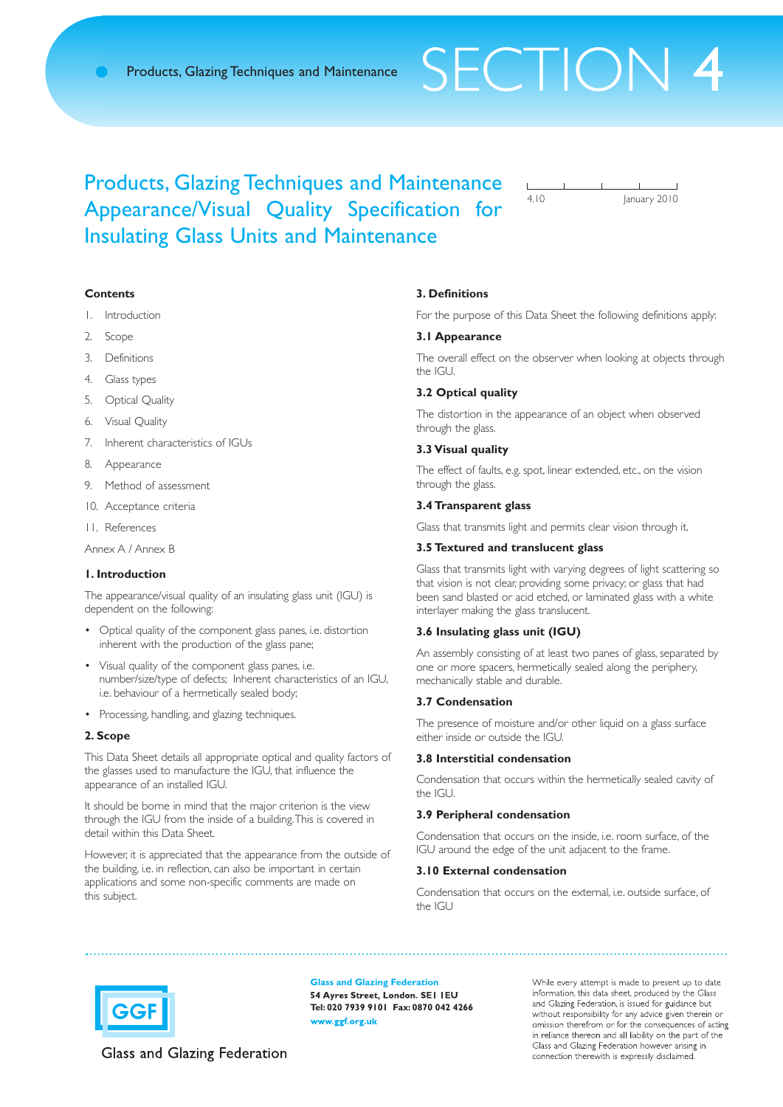# Products, Glazing Techniques and Maintenance SFCTION 4

4.10 January 2010

# Products, Glazing Techniques and Maintenance Appearance/Visual Quality Specification for Insulating Glass Units and Maintenance

# **Contents**

- 1. Introduction
- 2. Scope
- 3. Definitions
- 4. Glass types
- 5. Optical Quality
- 6. Visual Quality
- 7. Inherent characteristics of IGUs
- 8. Appearance
- 9. Method of assessment
- 10. Acceptance criteria

11. References

Annex A / Annex B

# **1. Introduction**

The appearance/visual quality of an insulating glass unit (IGU) is dependent on the following:

- Optical quality of the component glass panes, i.e. distortion inherent with the production of the glass pane;
- Visual quality of the component glass panes, i.e. number/size/type of defects; Inherent characteristics of an IGU, i.e. behaviour of a hermetically sealed body;
- Processing, handling, and glazing techniques.

#### **2. Scope**

This Data Sheet details all appropriate optical and quality factors of the glasses used to manufacture the IGU, that influence the appearance of an installed IGU.

It should be borne in mind that the major criterion is the view through the IGU from the inside of a building.This is covered in detail within this Data Sheet.

However, it is appreciated that the appearance from the outside of the building, i.e. in reflection, can also be important in certain applications and some non-specific comments are made on this subject.

#### **3. Definitions**

For the purpose of this Data Sheet the following definitions apply:

# **3.1 Appearance**

The overall effect on the observer when looking at objects through the IGU.

# **3.2 Optical quality**

The distortion in the appearance of an object when observed through the glass.

#### **3.3 Visual quality**

The effect of faults, e.g. spot, linear extended, etc., on the vision through the glass.

# **3.4 Transparent glass**

Glass that transmits light and permits clear vision through it.

#### **3.5 Textured and translucent glass**

Glass that transmits light with varying degrees of light scattering so that vision is not clear, providing some privacy; or glass that had been sand blasted or acid etched, or laminated glass with a white interlayer making the glass translucent.

# **3.6 Insulating glass unit (IGU)**

An assembly consisting of at least two panes of glass, separated by one or more spacers, hermetically sealed along the periphery, mechanically stable and durable.

# **3.7 Condensation**

The presence of moisture and/or other liquid on a glass surface either inside or outside the IGU.

# **3.8 Interstitial condensation**

Condensation that occurs within the hermetically sealed cavity of the IGU.

# **3.9 Peripheral condensation**

Condensation that occurs on the inside, i.e. room surface, of the IGU around the edge of the unit adjacent to the frame.

# **3.10 External condensation**

Condensation that occurs on the external, i.e. outside surface, of the IGU



**Glass and Glazing Federation** 54 Ayres Street, London. SEI IEU **Tel: 020 7939 9101 Fax: 0870 042 4266** www.ggf.org.uk

While every attempt is made to present up to date information, this data sheet, produced by the Glass and Glazing Federation, is issued for guidance but without responsibility for any advice given therein or omission therefrom or for the consequences of acting in reliance thereon and all liability on the part of the Glass and Glazing Federation however arising in connection therewith is expressly disclaimed.

Glass and Glazing Federation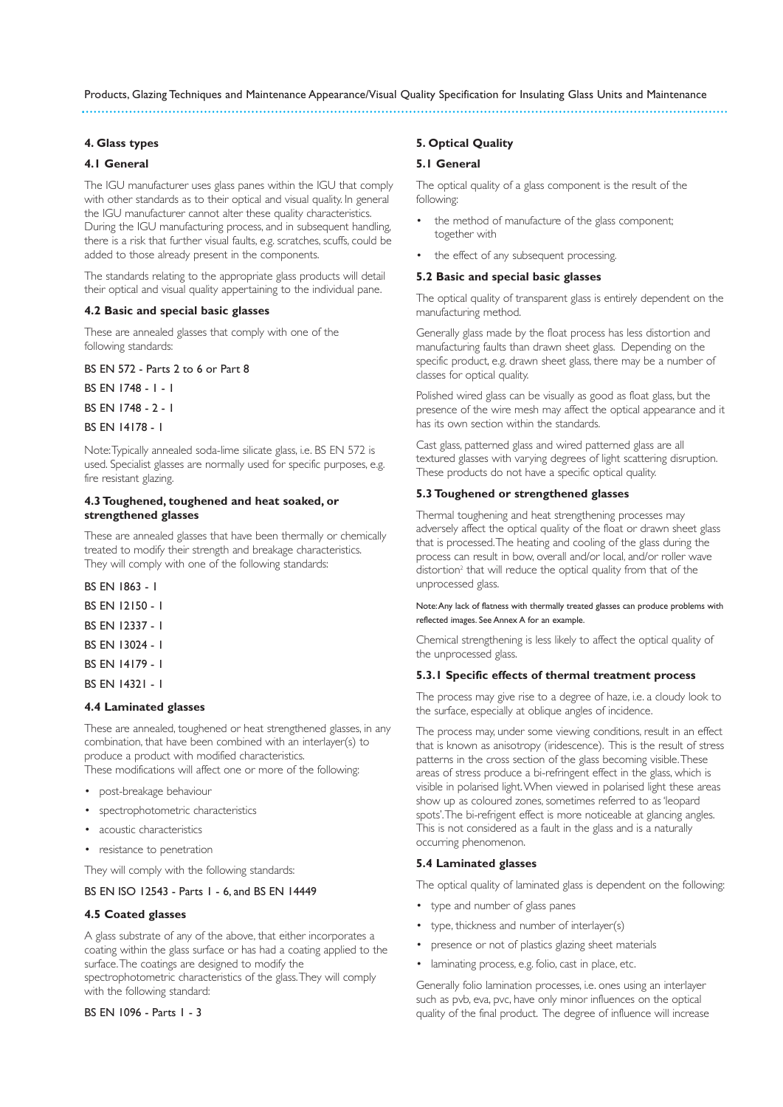#### **4. Glass types**

#### **4.1 General**

The IGU manufacturer uses glass panes within the IGU that comply with other standards as to their optical and visual quality. In general the IGU manufacturer cannot alter these quality characteristics. During the IGU manufacturing process, and in subsequent handling, there is a risk that further visual faults, e.g. scratches, scuffs, could be added to those already present in the components.

The standards relating to the appropriate glass products will detail their optical and visual quality appertaining to the individual pane.

# **4.2 Basic and special basic glasses**

These are annealed glasses that comply with one of the following standards:

BS EN 572 - Parts 2 to 6 or Part 8

BS EN 1748 - 1 - 1

BS EN 1748 - 2 - 1

BS EN 14178 - 1

Note:Typically annealed soda-lime silicate glass, i.e. BS EN 572 is used. Specialist glasses are normally used for specific purposes, e.g. fire resistant glazing.

#### **4.3 Toughened, toughened and heat soaked, or strengthened glasses**

These are annealed glasses that have been thermally or chemically treated to modify their strength and breakage characteristics. They will comply with one of the following standards:

BS EN 1863 - 1

- BS EN 12150 1
- BS EN 12337 1
- BS EN 13024 1
- BS EN 14179 1
- BS EN 14321 1

#### **4.4 Laminated glasses**

These are annealed, toughened or heat strengthened glasses, in any combination, that have been combined with an interlayer(s) to produce a product with modified characteristics.

These modifications will affect one or more of the following:

- post-breakage behaviour
- spectrophotometric characteristics
- acoustic characteristics
- resistance to penetration

They will comply with the following standards:

# BS EN ISO 12543 - Parts 1 - 6, and BS EN 14449

#### **4.5 Coated glasses**

A glass substrate of any of the above, that either incorporates a coating within the glass surface or has had a coating applied to the surface.The coatings are designed to modify the spectrophotometric characteristics of the glass.They will comply

with the following standard:

BS EN 1096 - Parts 1 - 3

#### **5. Optical Quality**

# **5.1 General**

The optical quality of a glass component is the result of the following:

- the method of manufacture of the glass component; together with
- the effect of any subsequent processing.

### **5.2 Basic and special basic glasses**

The optical quality of transparent glass is entirely dependent on the manufacturing method.

Generally glass made by the float process has less distortion and manufacturing faults than drawn sheet glass. Depending on the specific product, e.g. drawn sheet glass, there may be a number of classes for optical quality.

Polished wired glass can be visually as good as float glass, but the presence of the wire mesh may affect the optical appearance and it has its own section within the standards.

Cast glass, patterned glass and wired patterned glass are all textured glasses with varying degrees of light scattering disruption. These products do not have a specific optical quality.

#### **5.3 Toughened or strengthened glasses**

Thermal toughening and heat strengthening processes may adversely affect the optical quality of the float or drawn sheet glass that is processed.The heating and cooling of the glass during the process can result in bow, overall and/or local, and/or roller wave distortion<sup>2</sup> that will reduce the optical quality from that of the unprocessed glass.

Note:Any lack of flatness with thermally treated glasses can produce problems with reflected images. See Annex A for an example.

Chemical strengthening is less likely to affect the optical quality of the unprocessed glass.

#### **5.3.1 Specific effects of thermal treatment process**

The process may give rise to a degree of haze, i.e. a cloudy look to the surface, especially at oblique angles of incidence.

The process may, under some viewing conditions, result in an effect that is known as anisotropy (iridescence). This is the result of stress patterns in the cross section of the glass becoming visible.These areas of stress produce a bi-refringent effect in the glass, which is visible in polarised light.When viewed in polarised light these areas show up as coloured zones, sometimes referred to as 'leopard spots'.The bi-refrigent effect is more noticeable at glancing angles. This is not considered as a fault in the glass and is a naturally occurring phenomenon.

# **5.4 Laminated glasses**

The optical quality of laminated glass is dependent on the following:

- type and number of glass panes
- type, thickness and number of interlayer(s)
- presence or not of plastics glazing sheet materials
- laminating process, e.g. folio, cast in place, etc.

Generally folio lamination processes, i.e. ones using an interlayer such as pvb, eva, pvc, have only minor influences on the optical quality of the final product. The degree of influence will increase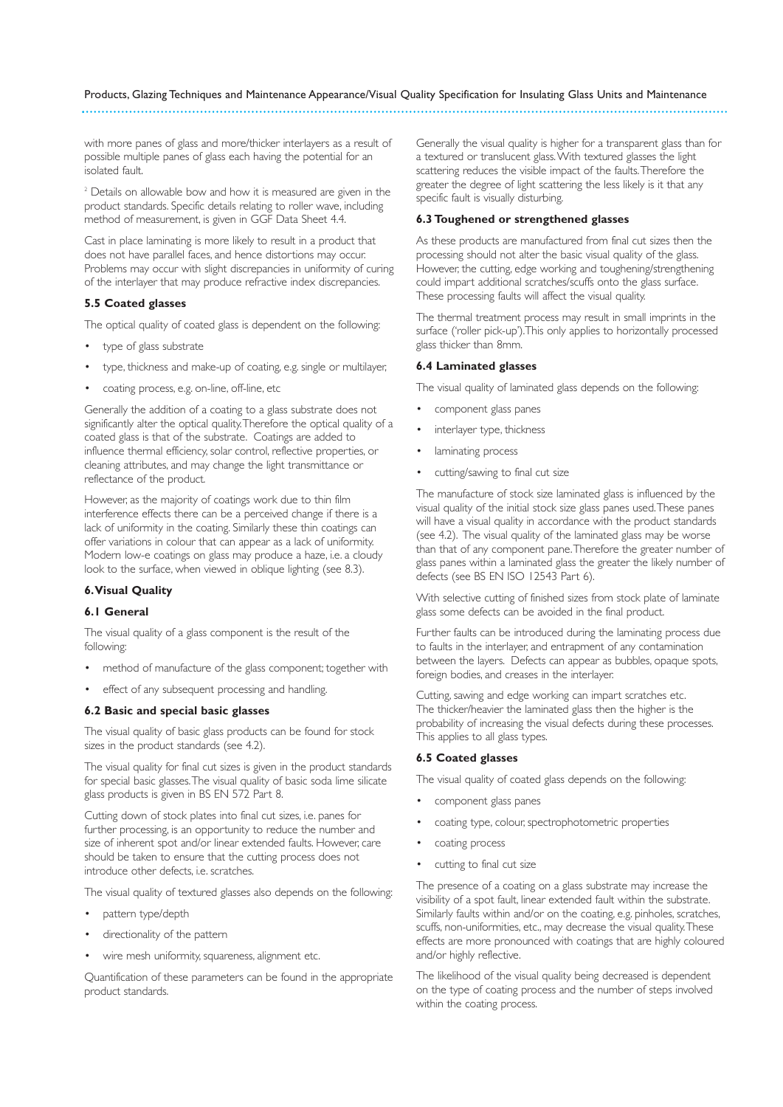with more panes of glass and more/thicker interlayers as a result of possible multiple panes of glass each having the potential for an isolated fault.

<sup>2</sup> Details on allowable bow and how it is measured are given in the product standards. Specific details relating to roller wave, including method of measurement, is given in GGF Data Sheet 4.4.

Cast in place laminating is more likely to result in a product that does not have parallel faces, and hence distortions may occur. Problems may occur with slight discrepancies in uniformity of curing of the interlayer that may produce refractive index discrepancies.

# **5.5 Coated glasses**

The optical quality of coated glass is dependent on the following:

- type of glass substrate
- type, thickness and make-up of coating, e.g. single or multilayer,
- coating process, e.g. on-line, off-line, etc

Generally the addition of a coating to a glass substrate does not significantly alter the optical quality.Therefore the optical quality of a coated glass is that of the substrate. Coatings are added to influence thermal efficiency, solar control, reflective properties, or cleaning attributes, and may change the light transmittance or reflectance of the product.

However, as the majority of coatings work due to thin film interference effects there can be a perceived change if there is a lack of uniformity in the coating. Similarly these thin coatings can offer variations in colour that can appear as a lack of uniformity. Modern low-e coatings on glass may produce a haze, i.e. a cloudy look to the surface, when viewed in oblique lighting (see 8.3).

# **6.Visual Quality**

# **6.1 General**

The visual quality of a glass component is the result of the following:

- method of manufacture of the glass component; together with
- effect of any subsequent processing and handling.

#### **6.2 Basic and special basic glasses**

The visual quality of basic glass products can be found for stock sizes in the product standards (see 4.2).

The visual quality for final cut sizes is given in the product standards for special basic glasses.The visual quality of basic soda lime silicate glass products is given in BS EN 572 Part 8.

Cutting down of stock plates into final cut sizes, i.e. panes for further processing, is an opportunity to reduce the number and size of inherent spot and/or linear extended faults. However, care should be taken to ensure that the cutting process does not introduce other defects, i.e. scratches.

The visual quality of textured glasses also depends on the following:

- pattern type/depth
- directionality of the pattern
- wire mesh uniformity, squareness, alignment etc.

Quantification of these parameters can be found in the appropriate product standards.

Generally the visual quality is higher for a transparent glass than for a textured or translucent glass.With textured glasses the light scattering reduces the visible impact of the faults.Therefore the greater the degree of light scattering the less likely is it that any specific fault is visually disturbing.

#### **6.3 Toughened or strengthened glasses**

As these products are manufactured from final cut sizes then the processing should not alter the basic visual quality of the glass. However, the cutting, edge working and toughening/strengthening could impart additional scratches/scuffs onto the glass surface. These processing faults will affect the visual quality.

The thermal treatment process may result in small imprints in the surface ('roller pick-up').This only applies to horizontally processed glass thicker than 8mm.

#### **6.4 Laminated glasses**

The visual quality of laminated glass depends on the following:

- component glass panes
- interlayer type, thickness
- laminating process
- cutting/sawing to final cut size

The manufacture of stock size laminated glass is influenced by the visual quality of the initial stock size glass panes used.These panes will have a visual quality in accordance with the product standards (see 4.2). The visual quality of the laminated glass may be worse than that of any component pane.Therefore the greater number of glass panes within a laminated glass the greater the likely number of defects (see BS EN ISO 12543 Part 6).

With selective cutting of finished sizes from stock plate of laminate glass some defects can be avoided in the final product.

Further faults can be introduced during the laminating process due to faults in the interlayer, and entrapment of any contamination between the layers. Defects can appear as bubbles, opaque spots, foreign bodies, and creases in the interlayer.

Cutting, sawing and edge working can impart scratches etc. The thicker/heavier the laminated glass then the higher is the probability of increasing the visual defects during these processes. This applies to all glass types.

# **6.5 Coated glasses**

The visual quality of coated glass depends on the following:

- component glass panes
- coating type, colour, spectrophotometric properties
- coating process
- cutting to final cut size

The presence of a coating on a glass substrate may increase the visibility of a spot fault, linear extended fault within the substrate. Similarly faults within and/or on the coating, e.g. pinholes, scratches, scuffs, non-uniformities, etc., may decrease the visual quality.These effects are more pronounced with coatings that are highly coloured and/or highly reflective.

The likelihood of the visual quality being decreased is dependent on the type of coating process and the number of steps involved within the coating process.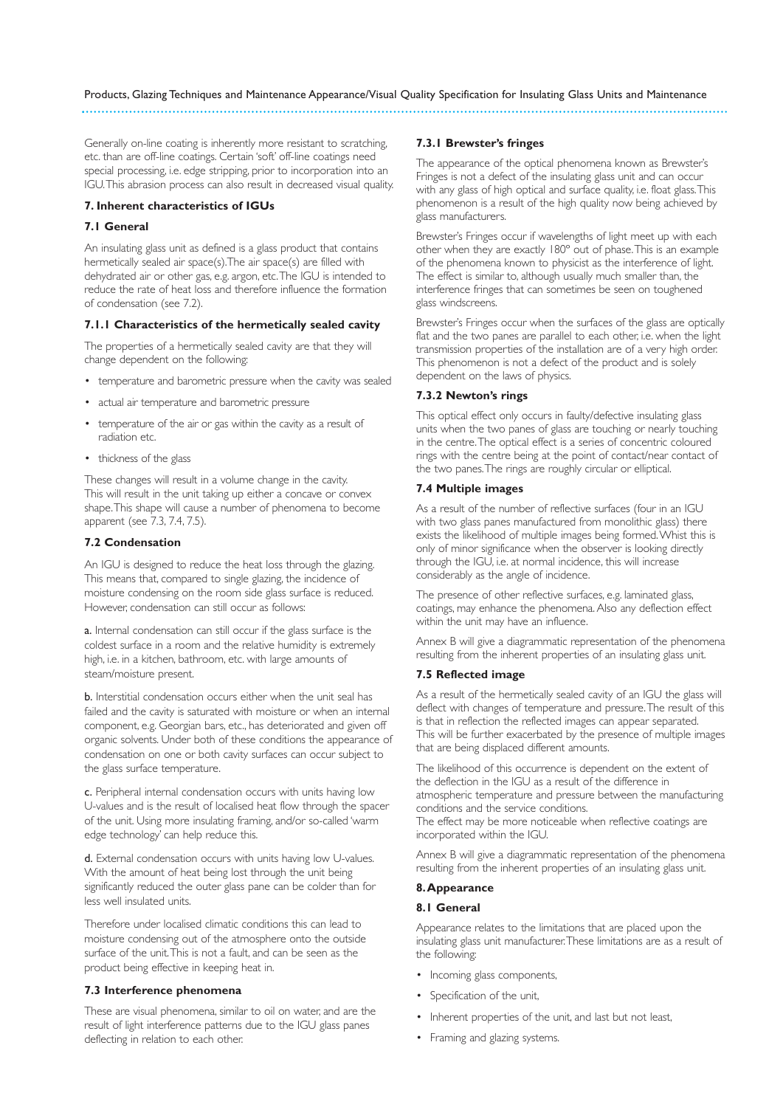Generally on-line coating is inherently more resistant to scratching, etc. than are off-line coatings. Certain 'soft' off-line coatings need special processing, i.e. edge stripping, prior to incorporation into an IGU.This abrasion process can also result in decreased visual quality.

#### **7. Inherent characteristics of IGUs**

# **7.1 General**

An insulating glass unit as defined is a glass product that contains hermetically sealed air space(s).The air space(s) are filled with dehydrated air or other gas, e.g. argon, etc.The IGU is intended to reduce the rate of heat loss and therefore influence the formation of condensation (see 7.2).

# **7.1.1 Characteristics of the hermetically sealed cavity**

The properties of a hermetically sealed cavity are that they will change dependent on the following:

- temperature and barometric pressure when the cavity was sealed
- actual air temperature and barometric pressure
- temperature of the air or gas within the cavity as a result of radiation etc.
- thickness of the glass

These changes will result in a volume change in the cavity. This will result in the unit taking up either a concave or convex shape.This shape will cause a number of phenomena to become apparent (see 7.3, 7.4, 7.5).

# **7.2 Condensation**

An IGU is designed to reduce the heat loss through the glazing. This means that, compared to single glazing, the incidence of moisture condensing on the room side glass surface is reduced. However, condensation can still occur as follows:

a. Internal condensation can still occur if the glass surface is the coldest surface in a room and the relative humidity is extremely high, i.e. in a kitchen, bathroom, etc. with large amounts of steam/moisture present.

b. Interstitial condensation occurs either when the unit seal has failed and the cavity is saturated with moisture or when an internal component, e.g. Georgian bars, etc., has deteriorated and given off organic solvents. Under both of these conditions the appearance of condensation on one or both cavity surfaces can occur subject to the glass surface temperature.

c. Peripheral internal condensation occurs with units having low U-values and is the result of localised heat flow through the spacer of the unit. Using more insulating framing, and/or so-called 'warm edge technology' can help reduce this.

d. External condensation occurs with units having low U-values. With the amount of heat being lost through the unit being significantly reduced the outer glass pane can be colder than for less well insulated units.

Therefore under localised climatic conditions this can lead to moisture condensing out of the atmosphere onto the outside surface of the unit.This is not a fault, and can be seen as the product being effective in keeping heat in.

# **7.3 Interference phenomena**

These are visual phenomena, similar to oil on water, and are the result of light interference patterns due to the IGU glass panes deflecting in relation to each other.

#### **7.3.1 Brewster's fringes**

The appearance of the optical phenomena known as Brewster's Fringes is not a defect of the insulating glass unit and can occur with any glass of high optical and surface quality, i.e. float glass. This phenomenon is a result of the high quality now being achieved by glass manufacturers.

Brewster's Fringes occur if wavelengths of light meet up with each other when they are exactly 180º out of phase.This is an example of the phenomena known to physicist as the interference of light. The effect is similar to, although usually much smaller than, the interference fringes that can sometimes be seen on toughened glass windscreens.

Brewster's Fringes occur when the surfaces of the glass are optically flat and the two panes are parallel to each other, i.e. when the light transmission properties of the installation are of a very high order. This phenomenon is not a defect of the product and is solely dependent on the laws of physics.

# **7.3.2 Newton's rings**

This optical effect only occurs in faulty/defective insulating glass units when the two panes of glass are touching or nearly touching in the centre.The optical effect is a series of concentric coloured rings with the centre being at the point of contact/near contact of the two panes.The rings are roughly circular or elliptical.

# **7.4 Multiple images**

As a result of the number of reflective surfaces (four in an IGU with two glass panes manufactured from monolithic glass) there exists the likelihood of multiple images being formed.Whist this is only of minor significance when the observer is looking directly through the IGU, i.e. at normal incidence, this will increase considerably as the angle of incidence.

The presence of other reflective surfaces, e.g. laminated glass, coatings, may enhance the phenomena. Also any deflection effect within the unit may have an influence.

Annex B will give a diagrammatic representation of the phenomena resulting from the inherent properties of an insulating glass unit.

#### **7.5 Reflected image**

As a result of the hermetically sealed cavity of an IGU the glass will deflect with changes of temperature and pressure.The result of this is that in reflection the reflected images can appear separated. This will be further exacerbated by the presence of multiple images that are being displaced different amounts.

The likelihood of this occurrence is dependent on the extent of the deflection in the IGU as a result of the difference in atmospheric temperature and pressure between the manufacturing conditions and the service conditions.

The effect may be more noticeable when reflective coatings are incorporated within the IGU.

Annex B will give a diagrammatic representation of the phenomena resulting from the inherent properties of an insulating glass unit.

# **8.Appearance**

#### **8.1 General**

Appearance relates to the limitations that are placed upon the insulating glass unit manufacturer.These limitations are as a result of the following:

- Incoming glass components,
- Specification of the unit,
- Inherent properties of the unit, and last but not least,
- Framing and glazing systems.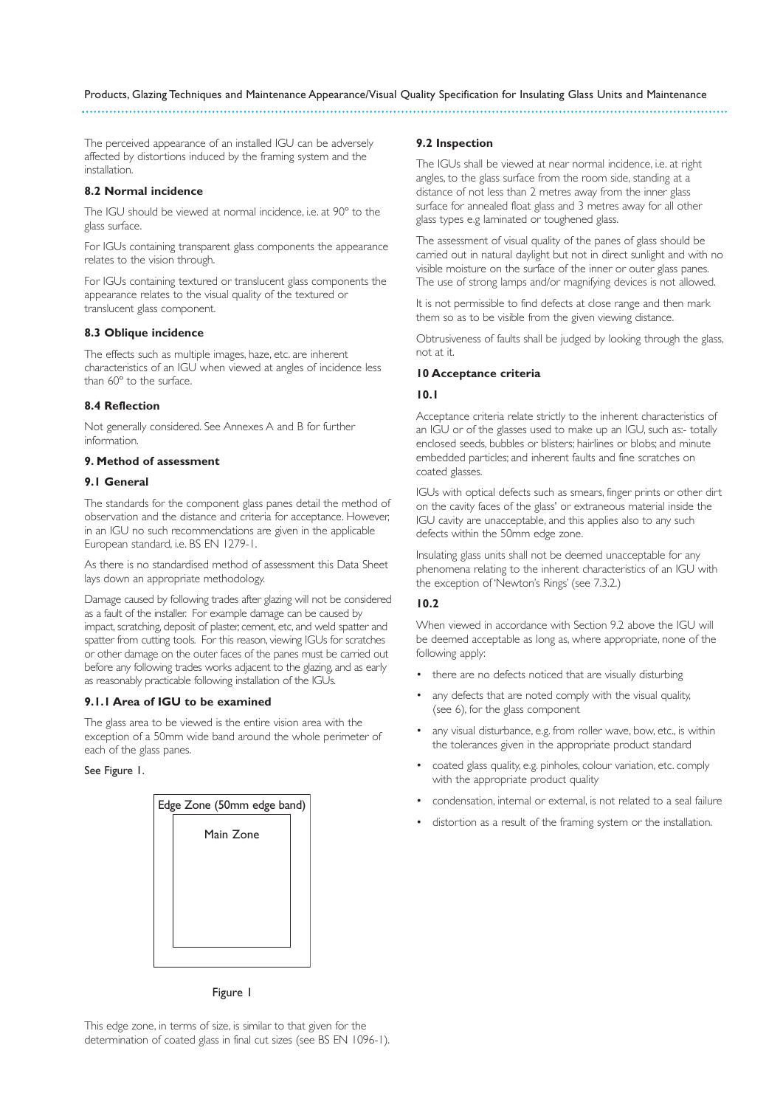The perceived appearance of an installed IGU can be adversely affected by distortions induced by the framing system and the installation.

#### **8.2 Normal incidence**

The IGU should be viewed at normal incidence, i.e. at 90º to the glass surface.

For IGUs containing transparent glass components the appearance relates to the vision through.

For IGUs containing textured or translucent glass components the appearance relates to the visual quality of the textured or translucent glass component.

#### **8.3 Oblique incidence**

The effects such as multiple images, haze, etc. are inherent characteristics of an IGU when viewed at angles of incidence less than 60º to the surface.

#### **8.4 Reflection**

Not generally considered. See Annexes A and B for further information.

# **9. Method of assessment**

# **9.1 General**

The standards for the component glass panes detail the method of observation and the distance and criteria for acceptance. However, in an IGU no such recommendations are given in the applicable European standard, i.e. BS EN 1279-1.

As there is no standardised method of assessment this Data Sheet lays down an appropriate methodology.

Damage caused by following trades after glazing will not be considered as a fault of the installer. For example damage can be caused by impact, scratching, deposit of plaster, cement, etc, and weld spatter and spatter from cutting tools. For this reason, viewing IGUs for scratches or other damage on the outer faces of the panes must be carried out before any following trades works adjacent to the glazing, and as early as reasonably practicable following installation of the IGUs.

# **9.1.1 Area of IGU to be examined**

The glass area to be viewed is the entire vision area with the exception of a 50mm wide band around the whole perimeter of each of the glass panes.

See Figure 1.

| Edge Zone (50mm edge band) |           |  |
|----------------------------|-----------|--|
|                            | Main Zone |  |
|                            |           |  |
|                            |           |  |
|                            |           |  |
|                            |           |  |

Figure 1

#### **9.2 Inspection**

The IGUs shall be viewed at near normal incidence, i.e. at right angles, to the glass surface from the room side, standing at a distance of not less than 2 metres away from the inner glass surface for annealed float glass and 3 metres away for all other glass types e.g laminated or toughened glass.

The assessment of visual quality of the panes of glass should be carried out in natural daylight but not in direct sunlight and with no visible moisture on the surface of the inner or outer glass panes. The use of strong lamps and/or magnifying devices is not allowed.

It is not permissible to find defects at close range and then mark them so as to be visible from the given viewing distance.

Obtrusiveness of faults shall be judged by looking through the glass, not at it.

#### **10 Acceptance criteria**

#### **10.1**

Acceptance criteria relate strictly to the inherent characteristics of an IGU or of the glasses used to make up an IGU, such as:- totally enclosed seeds, bubbles or blisters; hairlines or blobs; and minute embedded particles; and inherent faults and fine scratches on coated glasses.

IGUs with optical defects such as smears, finger prints or other dirt on the cavity faces of the glass' or extraneous material inside the IGU cavity are unacceptable, and this applies also to any such defects within the 50mm edge zone.

Insulating glass units shall not be deemed unacceptable for any phenomena relating to the inherent characteristics of an IGU with the exception of 'Newton's Rings' (see 7.3.2.)

# **10.2**

When viewed in accordance with Section 9.2 above the IGU will be deemed acceptable as long as, where appropriate, none of the following apply:

- there are no defects noticed that are visually disturbing
- any defects that are noted comply with the visual quality, (see 6), for the glass component
- any visual disturbance, e.g. from roller wave, bow, etc., is within the tolerances given in the appropriate product standard
- coated glass quality, e.g. pinholes, colour variation, etc. comply with the appropriate product quality
- condensation, internal or external, is not related to a seal failure
- distortion as a result of the framing system or the installation.

This edge zone, in terms of size, is similar to that given for the determination of coated glass in final cut sizes (see BS EN 1096-1).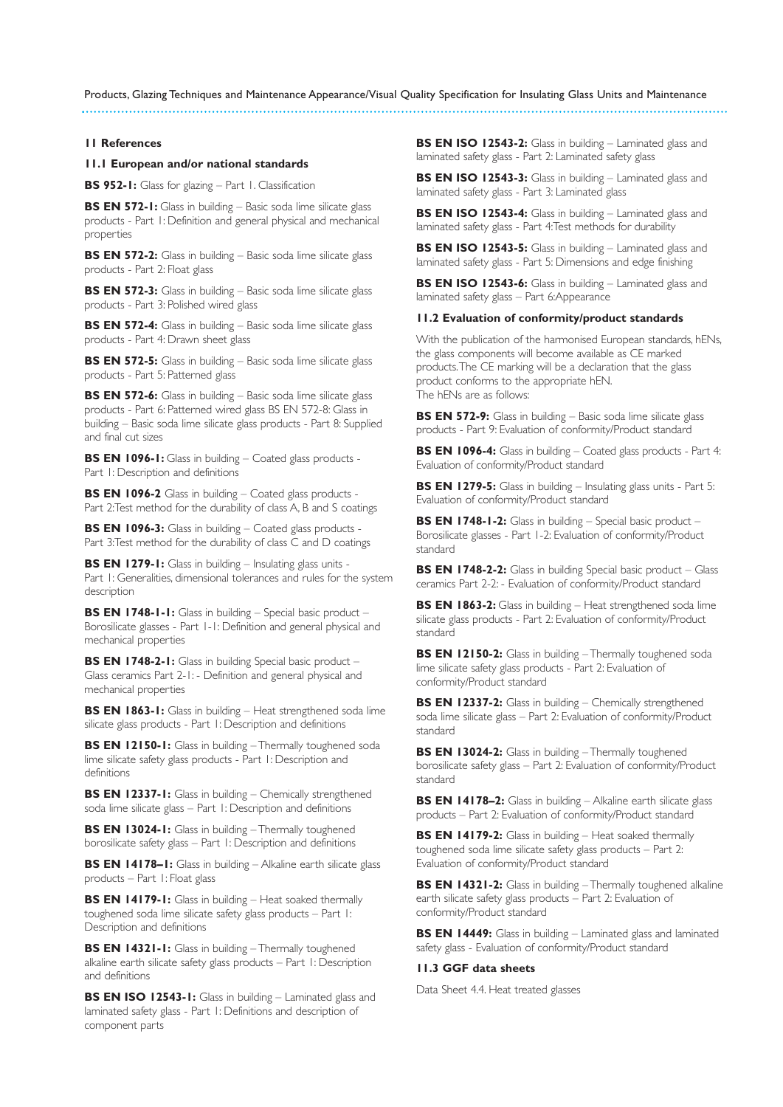#### **11 References**

#### **11.1 European and/or national standards**

**BS 952-1:** Glass for glazing – Part 1. Classification

**BS EN 572-1:** Glass in building – Basic soda lime silicate glass products - Part 1: Definition and general physical and mechanical properties

**BS EN 572-2:** Glass in building – Basic soda lime silicate glass products - Part 2: Float glass

**BS EN 572-3:** Glass in building – Basic soda lime silicate glass products - Part 3: Polished wired glass

**BS EN 572-4:** Glass in building – Basic soda lime silicate glass products - Part 4: Drawn sheet glass

**BS EN 572-5:** Glass in building – Basic soda lime silicate glass products - Part 5: Patterned glass

**BS EN 572-6:** Glass in building – Basic soda lime silicate glass products - Part 6: Patterned wired glass BS EN 572-8: Glass in building – Basic soda lime silicate glass products - Part 8: Supplied and final cut sizes

**BS EN 1096-1:** Glass in building – Coated glass products - Part 1: Description and definitions

**BS EN 1096-2** Glass in building – Coated glass products - Part 2:Test method for the durability of class A, B and S coatings

**BS EN 1096-3:** Glass in building – Coated glass products -Part 3:Test method for the durability of class C and D coatings

**BS EN 1279-1:** Glass in building – Insulating glass units - Part 1: Generalities, dimensional tolerances and rules for the system description

**BS EN 1748-1-1:** Glass in building – Special basic product – Borosilicate glasses - Part 1-1: Definition and general physical and mechanical properties

**BS EN 1748-2-1:** Glass in building Special basic product – Glass ceramics Part 2-1: - Definition and general physical and mechanical properties

**BS EN 1863-1:** Glass in building – Heat strengthened soda lime silicate glass products - Part 1: Description and definitions

**BS EN 12150-1:** Glass in building – Thermally toughened soda lime silicate safety glass products - Part 1: Description and definitions

**BS EN 12337-1:** Glass in building – Chemically strengthened soda lime silicate glass – Part 1: Description and definitions

**BS EN 13024-1:** Glass in building – Thermally toughened borosilicate safety glass – Part 1: Description and definitions

**BS EN 14178–1:** Glass in building – Alkaline earth silicate glass products – Part 1: Float glass

**BS EN 14179-1:** Glass in building – Heat soaked thermally toughened soda lime silicate safety glass products – Part 1: Description and definitions

**BS EN 14321-1:** Glass in building – Thermally toughened alkaline earth silicate safety glass products – Part 1: Description and definitions

**BS EN ISO 12543-1:** Glass in building – Laminated glass and laminated safety glass - Part 1: Definitions and description of component parts

**BS EN ISO 12543-2:** Glass in building – Laminated glass and laminated safety glass - Part 2: Laminated safety glass

**BS EN ISO 12543-3:** Glass in building – Laminated glass and laminated safety glass - Part 3: Laminated glass

**BS EN ISO 12543-4:** Glass in building – Laminated glass and laminated safety glass - Part 4:Test methods for durability

**BS EN ISO 12543-5:** Glass in building – Laminated glass and laminated safety glass - Part 5: Dimensions and edge finishing

**BS EN ISO 12543-6:** Glass in building – Laminated glass and laminated safety glass – Part 6:Appearance

#### **11.2 Evaluation of conformity/product standards**

With the publication of the harmonised European standards, hENs, the glass components will become available as CE marked products.The CE marking will be a declaration that the glass product conforms to the appropriate hEN. The hENs are as follows:

**BS EN 572-9:** Glass in building – Basic soda lime silicate glass products - Part 9: Evaluation of conformity/Product standard

**BS EN 1096-4:** Glass in building – Coated glass products - Part 4: Evaluation of conformity/Product standard

**BS EN 1279-5:** Glass in building – Insulating glass units - Part 5: Evaluation of conformity/Product standard

**BS EN 1748-1-2:** Glass in building – Special basic product – Borosilicate glasses - Part 1-2: Evaluation of conformity/Product standard

**BS EN 1748-2-2:** Glass in building Special basic product – Glass ceramics Part 2-2: - Evaluation of conformity/Product standard

**BS EN 1863-2:** Glass in building – Heat strengthened soda lime silicate glass products - Part 2: Evaluation of conformity/Product standard

**BS EN 12150-2:** Glass in building - Thermally toughened soda lime silicate safety glass products - Part 2: Evaluation of conformity/Product standard

**BS EN 12337-2:** Glass in building – Chemically strengthened soda lime silicate glass – Part 2: Evaluation of conformity/Product standard

**BS EN 13024-2:** Glass in building - Thermally toughened borosilicate safety glass – Part 2: Evaluation of conformity/Product standard

**BS EN 14178–2:** Glass in building – Alkaline earth silicate glass products – Part 2: Evaluation of conformity/Product standard

**BS EN 14179-2:** Glass in building – Heat soaked thermally toughened soda lime silicate safety glass products – Part 2: Evaluation of conformity/Product standard

**BS EN 14321-2:** Glass in building – Thermally toughened alkaline earth silicate safety glass products – Part 2: Evaluation of conformity/Product standard

**BS EN 14449:** Glass in building – Laminated glass and laminated safety glass - Evaluation of conformity/Product standard

# **11.3 GGF data sheets**

Data Sheet 4.4. Heat treated glasses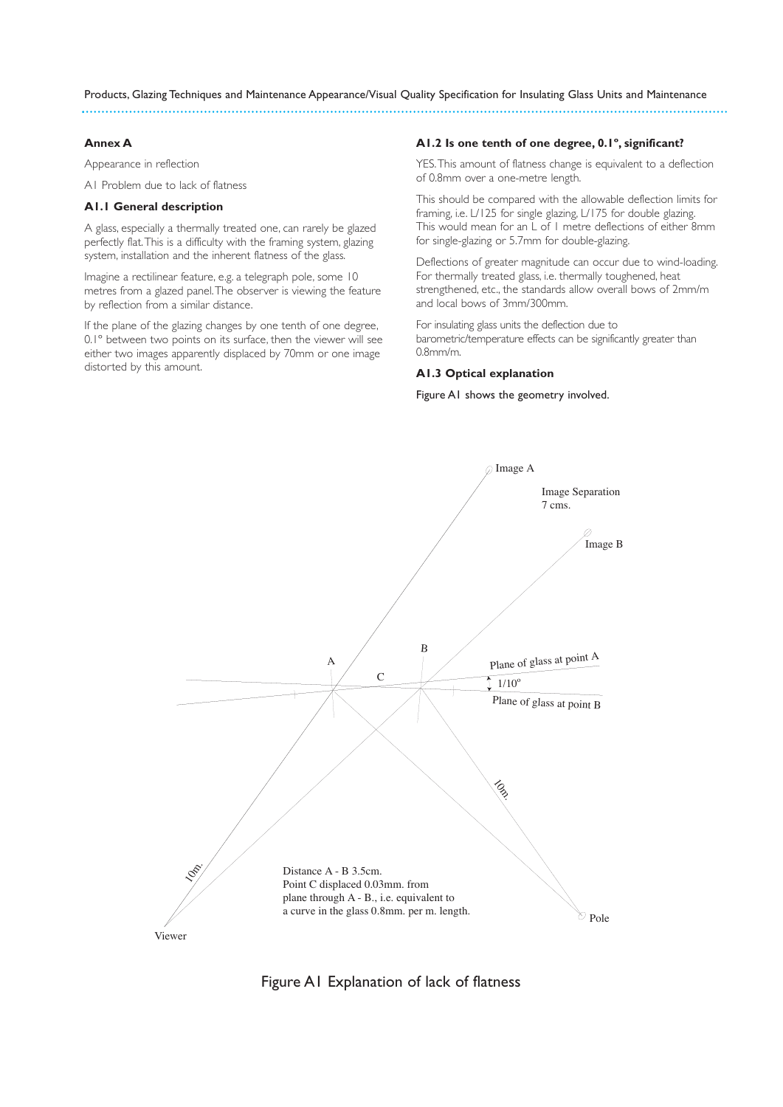#### **Annex A**

Appearance in reflection

A1 Problem due to lack of flatness

# **A1.1 General description**

A glass, especially a thermally treated one, can rarely be glazed perfectly flat.This is a difficulty with the framing system, glazing system, installation and the inherent flatness of the glass.

Imagine a rectilinear feature, e.g. a telegraph pole, some 10 metres from a glazed panel.The observer is viewing the feature by reflection from a similar distance.

If the plane of the glazing changes by one tenth of one degree, 0.1º between two points on its surface, then the viewer will see either two images apparently displaced by 70mm or one image distorted by this amount.

#### **A1.2 Is one tenth of one degree, 0.1º, significant?**

YES.This amount of flatness change is equivalent to a deflection of 0.8mm over a one-metre length.

This should be compared with the allowable deflection limits for framing, i.e. L/125 for single glazing, L/175 for double glazing. This would mean for an L of 1 metre deflections of either 8mm for single-glazing or 5.7mm for double-glazing.

Deflections of greater magnitude can occur due to wind-loading. For thermally treated glass, i.e. thermally toughened, heat strengthened, etc., the standards allow overall bows of 2mm/m and local bows of 3mm/300mm.

For insulating glass units the deflection due to barometric/temperature effects can be significantly greater than 0.8mm/m.

# **A1.3 Optical explanation**

Figure A1 shows the geometry involved.



Figure A1 Explanation of lack of flatness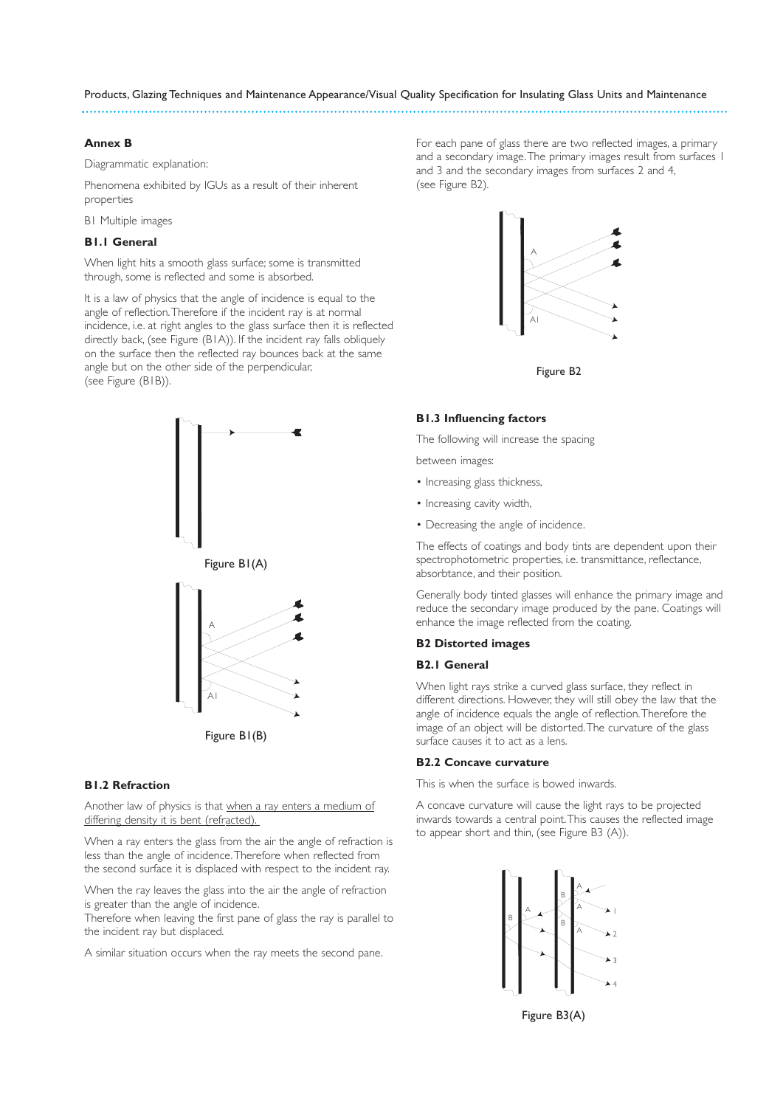#### **Annex B**

Diagrammatic explanation:

Phenomena exhibited by IGUs as a result of their inherent properties

B1 Multiple images

# **B1.1 General**

When light hits a smooth glass surface; some is transmitted through, some is reflected and some is absorbed.

It is a law of physics that the angle of incidence is equal to the angle of reflection.Therefore if the incident ray is at normal incidence, i.e. at right angles to the glass surface then it is reflected directly back, (see Figure (B1A)). If the incident ray falls obliquely on the surface then the reflected ray bounces back at the same angle but on the other side of the perpendicular, (see Figure (B1B)).



#### **B1.2 Refraction**

Another law of physics is that when a ray enters a medium of differing density it is bent (refracted).

When a ray enters the glass from the air the angle of refraction is less than the angle of incidence.Therefore when reflected from the second surface it is displaced with respect to the incident ray.

When the ray leaves the glass into the air the angle of refraction is greater than the angle of incidence.

Therefore when leaving the first pane of glass the ray is parallel to the incident ray but displaced.

A similar situation occurs when the ray meets the second pane.

For each pane of glass there are two reflected images, a primary and a secondary image.The primary images result from surfaces 1 and 3 and the secondary images from surfaces 2 and 4, (see Figure B2).



Figure B2

#### **B1.3 Influencing factors**

The following will increase the spacing

e<br>between images:

- Increasing glass thickness,
- Increasing cavity width,
- Decreasing the angle of incidence.

The effects of coatings and body tints are dependent upon their spectrophotometric properties, i.e. transmittance, reflectance, absorbtance, and their position.

Generally body tinted glasses will enhance the primary image and reduce the secondary image produced by the pane. Coatings will enhance the image reflected from the coating. .

# **B2 Distorted images**

# **B2.1 General**

When light rays strike a curved glass surface, they reflect in different directions. However, they will still obey the law that the angle of incidence equals the angle of reflection.Therefore the angle of including equals the angle of relievant memore the linage of an object will be distorted. The curvature of the glass surface causes it to act as a lens. .

#### **B2.2 Concave curvature**

This is when the surface is bowed inwards.

A concave curvature will cause the light rays to be projected inwards towards a central point.This causes the reflected image to appear short and thin, (see Figure B3 (A)).



Figure B3(A)